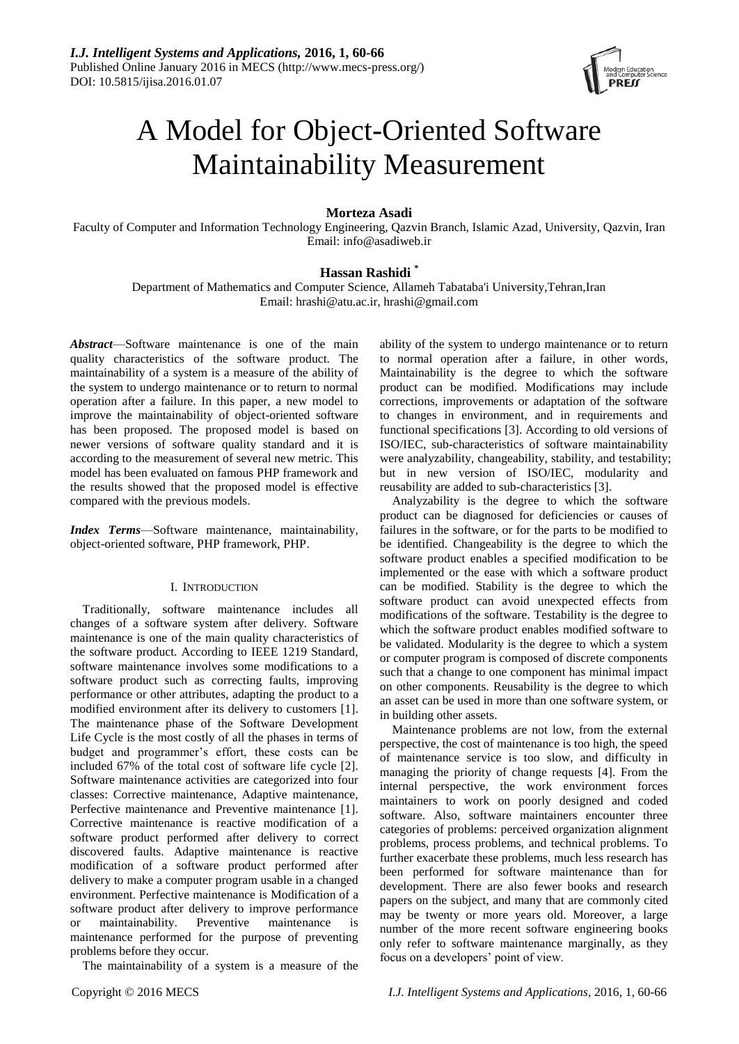

# A Model for Object-Oriented Software Maintainability Measurement

# **Morteza Asadi**

Faculty of Computer and Information Technology Engineering, Qazvin Branch, Islamic Azad, University, Qazvin, Iran Email: info@asadiweb.ir

# **Hassan Rashidi \***

Department of Mathematics and Computer Science, Allameh Tabataba'i University,Tehran,Iran Email: hrashi@atu.ac.ir, hrashi@gmail.com

*Abstract*—Software maintenance is one of the main quality characteristics of the software product. The maintainability of a system is a measure of the ability of the system to undergo maintenance or to return to normal operation after a failure. In this paper, a new model to improve the maintainability of object-oriented software has been proposed. The proposed model is based on newer versions of software quality standard and it is according to the measurement of several new metric. This model has been evaluated on famous PHP framework and the results showed that the proposed model is effective compared with the previous models.

*Index Terms*—Software maintenance, maintainability, object-oriented software, PHP framework, PHP.

# I. INTRODUCTION

Traditionally, software maintenance includes all changes of a software system after delivery. Software maintenance is one of the main quality characteristics of the software product. According to IEEE 1219 Standard, software maintenance involves some modifications to a software product such as correcting faults, improving performance or other attributes, adapting the product to a modified environment after its delivery to customers [1]. The maintenance phase of the Software Development Life Cycle is the most costly of all the phases in terms of budget and programmer's effort, these costs can be included 67% of the total cost of software life cycle [2]. Software maintenance activities are categorized into four classes: Corrective maintenance, Adaptive maintenance, Perfective maintenance and Preventive maintenance [1]. Corrective maintenance is reactive modification of a software product performed after delivery to correct discovered faults. Adaptive maintenance is reactive modification of a software product performed after delivery to make a computer program usable in a changed environment. Perfective maintenance is Modification of a software product after delivery to improve performance or maintainability. Preventive maintenance is maintenance performed for the purpose of preventing problems before they occur.

The maintainability of a system is a measure of the

ability of the system to undergo maintenance or to return to normal operation after a failure, in other words, Maintainability is the degree to which the software product can be modified. Modifications may include corrections, improvements or adaptation of the software to changes in environment, and in requirements and functional specifications [3]. According to old versions of ISO/IEC, sub-characteristics of software maintainability were analyzability, changeability, stability, and testability; but in new version of ISO/IEC, modularity and reusability are added to sub-characteristics [3].

Analyzability is the degree to which the software product can be diagnosed for deficiencies or causes of failures in the software, or for the parts to be modified to be identified. Changeability is the degree to which the software product enables a specified modification to be implemented or the ease with which a software product can be modified. Stability is the degree to which the software product can avoid unexpected effects from modifications of the software. Testability is the degree to which the software product enables modified software to be validated. Modularity is the degree to which a system or computer program is composed of discrete components such that a change to one component has minimal impact on other components. Reusability is the degree to which an asset can be used in more than one software system, or in building other assets.

Maintenance problems are not low, from the external perspective, the cost of maintenance is too high, the speed of maintenance service is too slow, and difficulty in managing the priority of change requests [4]. From the internal perspective, the work environment forces maintainers to work on poorly designed and coded software. Also, software maintainers encounter three categories of problems: perceived organization alignment problems, process problems, and technical problems. To further exacerbate these problems, much less research has been performed for software maintenance than for development. There are also fewer books and research papers on the subject, and many that are commonly cited may be twenty or more years old. Moreover, a large number of the more recent software engineering books only refer to software maintenance marginally, as they focus on a developers' point of view.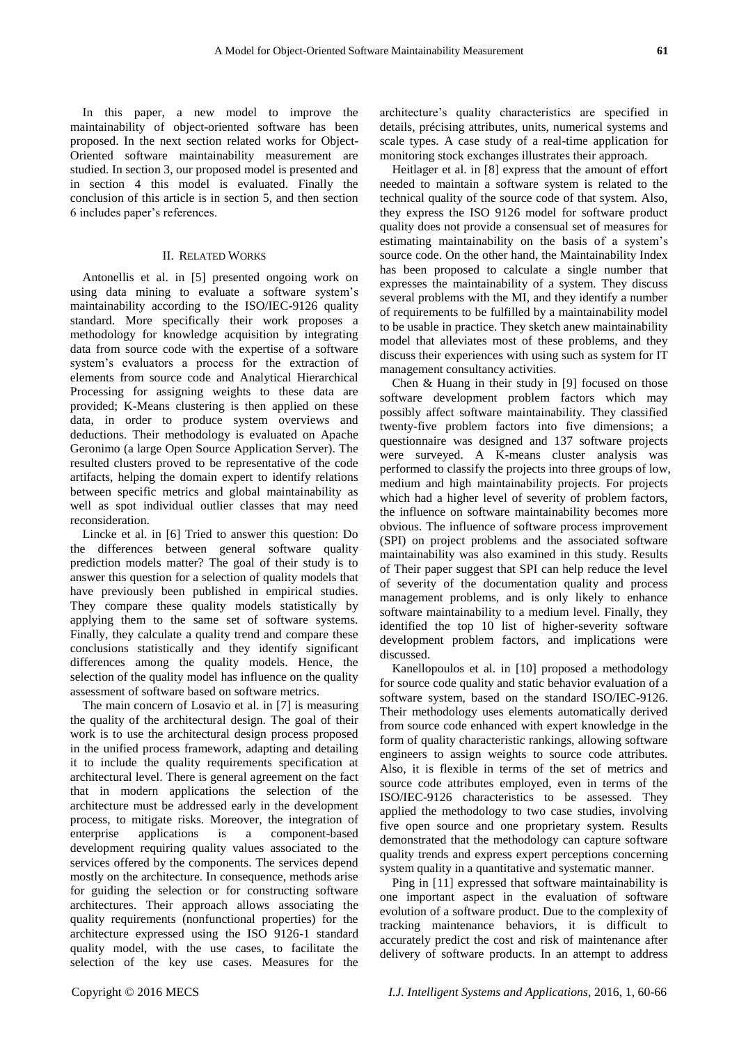In this paper, a new model to improve the maintainability of object-oriented software has been

proposed. In the next section related works for Object-Oriented software maintainability measurement are studied. In section 3, our proposed model is presented and in section 4 this model is evaluated. Finally the conclusion of this article is in section 5, and then section 6 includes paper's references.

## II. RELATED WORKS

Antonellis et al. in [5] presented ongoing work on using data mining to evaluate a software system's maintainability according to the ISO/IEC-9126 quality standard. More specifically their work proposes a methodology for knowledge acquisition by integrating data from source code with the expertise of a software system's evaluators a process for the extraction of elements from source code and Analytical Hierarchical Processing for assigning weights to these data are provided; K-Means clustering is then applied on these data, in order to produce system overviews and deductions. Their methodology is evaluated on Apache Geronimo (a large Open Source Application Server). The resulted clusters proved to be representative of the code artifacts, helping the domain expert to identify relations between specific metrics and global maintainability as well as spot individual outlier classes that may need reconsideration.

Lincke et al. in [6] Tried to answer this question: Do the differences between general software quality prediction models matter? The goal of their study is to answer this question for a selection of quality models that have previously been published in empirical studies. They compare these quality models statistically by applying them to the same set of software systems. Finally, they calculate a quality trend and compare these conclusions statistically and they identify significant differences among the quality models. Hence, the selection of the quality model has influence on the quality assessment of software based on software metrics.

The main concern of Losavio et al. in [7] is measuring the quality of the architectural design. The goal of their work is to use the architectural design process proposed in the unified process framework, adapting and detailing it to include the quality requirements specification at architectural level. There is general agreement on the fact that in modern applications the selection of the architecture must be addressed early in the development process, to mitigate risks. Moreover, the integration of enterprise applications is a component-based development requiring quality values associated to the services offered by the components. The services depend mostly on the architecture. In consequence, methods arise for guiding the selection or for constructing software architectures. Their approach allows associating the quality requirements (nonfunctional properties) for the architecture expressed using the ISO 9126-1 standard quality model, with the use cases, to facilitate the selection of the key use cases. Measures for the

architecture's quality characteristics are specified in details, précising attributes, units, numerical systems and scale types. A case study of a real-time application for monitoring stock exchanges illustrates their approach.

Heitlager et al. in [8] express that the amount of effort needed to maintain a software system is related to the technical quality of the source code of that system. Also, they express the ISO 9126 model for software product quality does not provide a consensual set of measures for estimating maintainability on the basis of a system's source code. On the other hand, the Maintainability Index has been proposed to calculate a single number that expresses the maintainability of a system. They discuss several problems with the MI, and they identify a number of requirements to be fulfilled by a maintainability model to be usable in practice. They sketch anew maintainability model that alleviates most of these problems, and they discuss their experiences with using such as system for IT management consultancy activities.

Chen & Huang in their study in [9] focused on those software development problem factors which may possibly affect software maintainability. They classified twenty-five problem factors into five dimensions; a questionnaire was designed and 137 software projects were surveyed. A K-means cluster analysis was performed to classify the projects into three groups of low, medium and high maintainability projects. For projects which had a higher level of severity of problem factors, the influence on software maintainability becomes more obvious. The influence of software process improvement (SPI) on project problems and the associated software maintainability was also examined in this study. Results of Their paper suggest that SPI can help reduce the level of severity of the documentation quality and process management problems, and is only likely to enhance software maintainability to a medium level. Finally, they identified the top 10 list of higher-severity software development problem factors, and implications were discussed.

Kanellopoulos et al. in [10] proposed a methodology for source code quality and static behavior evaluation of a software system, based on the standard ISO/IEC-9126. Their methodology uses elements automatically derived from source code enhanced with expert knowledge in the form of quality characteristic rankings, allowing software engineers to assign weights to source code attributes. Also, it is flexible in terms of the set of metrics and source code attributes employed, even in terms of the ISO/IEC-9126 characteristics to be assessed. They applied the methodology to two case studies, involving five open source and one proprietary system. Results demonstrated that the methodology can capture software quality trends and express expert perceptions concerning system quality in a quantitative and systematic manner.

Ping in [11] expressed that software maintainability is one important aspect in the evaluation of software evolution of a software product. Due to the complexity of tracking maintenance behaviors, it is difficult to accurately predict the cost and risk of maintenance after delivery of software products. In an attempt to address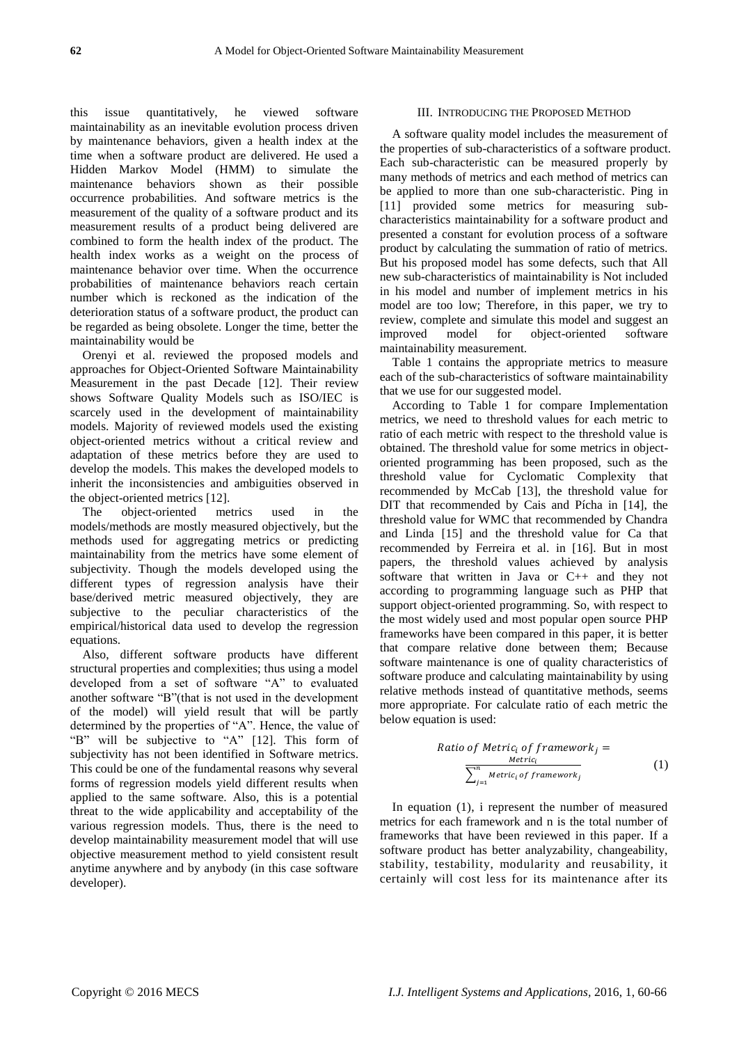this issue quantitatively, he viewed software maintainability as an inevitable evolution process driven by maintenance behaviors, given a health index at the time when a software product are delivered. He used a Hidden Markov Model (HMM) to simulate the maintenance behaviors shown as their possible occurrence probabilities. And software metrics is the measurement of the quality of a software product and its measurement results of a product being delivered are combined to form the health index of the product. The health index works as a weight on the process of maintenance behavior over time. When the occurrence probabilities of maintenance behaviors reach certain number which is reckoned as the indication of the deterioration status of a software product, the product can be regarded as being obsolete. Longer the time, better the maintainability would be

Orenyi et al. reviewed the proposed models and approaches for Object-Oriented Software Maintainability Measurement in the past Decade [12]. Their review shows Software Quality Models such as ISO/IEC is scarcely used in the development of maintainability models. Majority of reviewed models used the existing object-oriented metrics without a critical review and adaptation of these metrics before they are used to develop the models. This makes the developed models to inherit the inconsistencies and ambiguities observed in the object-oriented metrics [12].

The object-oriented metrics used in the models/methods are mostly measured objectively, but the methods used for aggregating metrics or predicting maintainability from the metrics have some element of subjectivity. Though the models developed using the different types of regression analysis have their base/derived metric measured objectively, they are subjective to the peculiar characteristics of the empirical/historical data used to develop the regression equations.

Also, different software products have different structural properties and complexities; thus using a model developed from a set of software "A" to evaluated another software "B"(that is not used in the development of the model) will yield result that will be partly determined by the properties of "A". Hence, the value of "B" will be subjective to "A" [12]. This form of subjectivity has not been identified in Software metrics. This could be one of the fundamental reasons why several forms of regression models yield different results when applied to the same software. Also, this is a potential threat to the wide applicability and acceptability of the various regression models. Thus, there is the need to develop maintainability measurement model that will use objective measurement method to yield consistent result anytime anywhere and by anybody (in this case software developer).

## III. INTRODUCING THE PROPOSED METHOD

A software quality model includes the measurement of the properties of sub-characteristics of a software product. Each sub-characteristic can be measured properly by many methods of metrics and each method of metrics can be applied to more than one sub-characteristic. Ping in [11] provided some metrics for measuring subcharacteristics maintainability for a software product and presented a constant for evolution process of a software product by calculating the summation of ratio of metrics. But his proposed model has some defects, such that All new sub-characteristics of maintainability is Not included in his model and number of implement metrics in his model are too low; Therefore, in this paper, we try to review, complete and simulate this model and suggest an improved model for object-oriented software maintainability measurement.

Table 1 contains the appropriate metrics to measure each of the sub-characteristics of software maintainability that we use for our suggested model.

According to Table 1 for compare Implementation metrics, we need to threshold values for each metric to ratio of each metric with respect to the threshold value is obtained. The threshold value for some metrics in objectoriented programming has been proposed, such as the threshold value for Cyclomatic Complexity that recommended by McCab [13], the threshold value for DIT that recommended by Cais and P *f*cha in [14], the threshold value for WMC that recommended by Chandra and Linda [15] and the threshold value for Ca that recommended by Ferreira et al. in [16]. But in most papers, the threshold values achieved by analysis software that written in Java or C++ and they not according to programming language such as PHP that support object-oriented programming. So, with respect to the most widely used and most popular open source PHP frameworks have been compared in this paper, it is better that compare relative done between them; Because software maintenance is one of quality characteristics of software produce and calculating maintainability by using relative methods instead of quantitative methods, seems more appropriate. For calculate ratio of each metric the below equation is used:

Ratio of Metric<sub>i</sub> of framework<sub>j</sub> =  
\n
$$
\frac{Metrici}{\sum_{j=1}^{n} Metrici of frameworkj}}
$$
\n(1)

In equation (1), i represent the number of measured metrics for each framework and n is the total number of frameworks that have been reviewed in this paper. If a software product has better analyzability, changeability, stability, testability, modularity and reusability, it certainly will cost less for its maintenance after its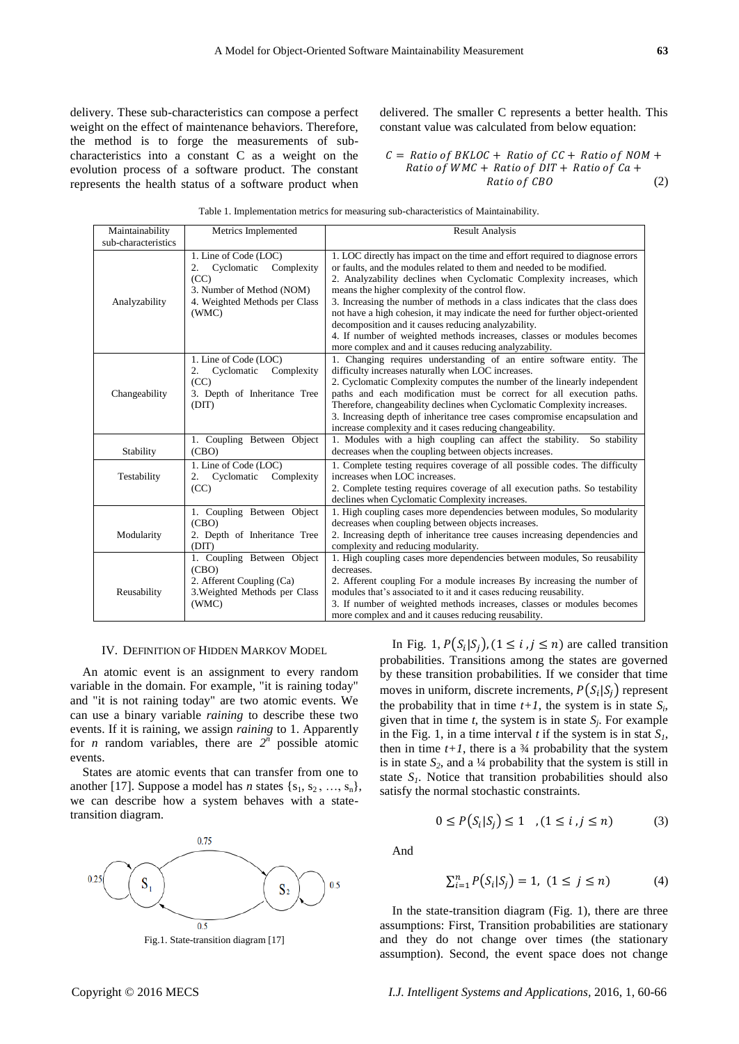delivery. These sub-characteristics can compose a perfect weight on the effect of maintenance behaviors. Therefore, the method is to forge the measurements of subcharacteristics into a constant C as a weight on the evolution process of a software product. The constant represents the health status of a software product when delivered. The smaller C represents a better health. This constant value was calculated from below equation:

 $C =$  Ratio of BKLOC + Ratio of  $CC +$  Ratio of NOM + Ratio of  $WMC +$  Ratio of  $DIT +$  Ratio of  $Ca +$ Ratio of CBO (2)

|  | Table 1. Implementation metrics for measuring sub-characteristics of Maintainability. |  |  |  |  |  |
|--|---------------------------------------------------------------------------------------|--|--|--|--|--|
|  |                                                                                       |  |  |  |  |  |

| Maintainability<br>sub-characteristics | Metrics Implemented                                                                                                                    | <b>Result Analysis</b>                                                                                                                                                                                                                                                                                                                                                                                                                                                                                                                                                                                                                           |
|----------------------------------------|----------------------------------------------------------------------------------------------------------------------------------------|--------------------------------------------------------------------------------------------------------------------------------------------------------------------------------------------------------------------------------------------------------------------------------------------------------------------------------------------------------------------------------------------------------------------------------------------------------------------------------------------------------------------------------------------------------------------------------------------------------------------------------------------------|
| Analyzability                          | 1. Line of Code (LOC)<br>Complexity<br>Cyclomatic<br>2.<br>(CC)<br>3. Number of Method (NOM)<br>4. Weighted Methods per Class<br>(WMC) | 1. LOC directly has impact on the time and effort required to diagnose errors<br>or faults, and the modules related to them and needed to be modified.<br>2. Analyzability declines when Cyclomatic Complexity increases, which<br>means the higher complexity of the control flow.<br>3. Increasing the number of methods in a class indicates that the class does<br>not have a high cohesion, it may indicate the need for further object-oriented<br>decomposition and it causes reducing analyzability.<br>4. If number of weighted methods increases, classes or modules becomes<br>more complex and and it causes reducing analyzability. |
| Changeability                          | 1. Line of Code (LOC)<br>Complexity<br>Cyclomatic<br>2.<br>(CC)<br>3. Depth of Inheritance Tree<br>(DIT)                               | 1. Changing requires understanding of an entire software entity. The<br>difficulty increases naturally when LOC increases.<br>2. Cyclomatic Complexity computes the number of the linearly independent<br>paths and each modification must be correct for all execution paths.<br>Therefore, changeability declines when Cyclomatic Complexity increases.<br>3. Increasing depth of inheritance tree cases compromise encapsulation and<br>increase complexity and it cases reducing changeability.                                                                                                                                              |
| Stability                              | 1. Coupling Between Object<br>(CBO)                                                                                                    | 1. Modules with a high coupling can affect the stability. So stability<br>decreases when the coupling between objects increases.                                                                                                                                                                                                                                                                                                                                                                                                                                                                                                                 |
| Testability                            | 1. Line of Code (LOC)<br>Cyclomatic<br>Complexity<br>2.<br>(CC)                                                                        | 1. Complete testing requires coverage of all possible codes. The difficulty<br>increases when LOC increases.<br>2. Complete testing requires coverage of all execution paths. So testability<br>declines when Cyclomatic Complexity increases.                                                                                                                                                                                                                                                                                                                                                                                                   |
| Modularity                             | 1. Coupling Between Object<br>(CBO)<br>2. Depth of Inheritance Tree<br>(DIT)                                                           | 1. High coupling cases more dependencies between modules, So modularity<br>decreases when coupling between objects increases.<br>2. Increasing depth of inheritance tree causes increasing dependencies and<br>complexity and reducing modularity.                                                                                                                                                                                                                                                                                                                                                                                               |
| Reusability                            | 1. Coupling Between Object<br>(CBO)<br>2. Afferent Coupling (Ca)<br>3. Weighted Methods per Class<br>(WMC)                             | 1. High coupling cases more dependencies between modules, So reusability<br>decreases.<br>2. Afferent coupling For a module increases By increasing the number of<br>modules that's associated to it and it cases reducing reusability.<br>3. If number of weighted methods increases, classes or modules becomes<br>more complex and and it causes reducing reusability.                                                                                                                                                                                                                                                                        |

#### IV. DEFINITION OF HIDDEN MARKOV MODEL

An atomic event is an assignment to every random variable in the domain. For example, "it is raining today" and "it is not raining today" are two atomic events. We can use a binary variable *raining* to describe these two events. If it is raining, we assign *raining* to 1. Apparently for *n* random variables, there are  $2^n$  possible atomic events.

States are atomic events that can transfer from one to another [17]. Suppose a model has *n* states  $\{s_1, s_2, ..., s_n\}$ , we can describe how a system behaves with a statetransition diagram.



Fig.1. State-transition diagram [17]

In Fig. 1,  $P(S_i|S_j)$ ,  $(1 \le i, j \le n)$  are called transition probabilities. Transitions among the states are governed by these transition probabilities. If we consider that time moves in uniform, discrete increments,  $P(S_i|S_j)$  represent the probability that in time  $t+1$ , the system is in state  $S_i$ , given that in time  $t$ , the system is in state  $S_j$ . For example in the Fig. 1, in a time interval *t* if the system is in stat  $S<sub>1</sub>$ , then in time  $t+1$ , there is a  $\frac{3}{4}$  probability that the system is in state  $S_2$ , and a  $\frac{1}{4}$  probability that the system is still in state  $S_I$ . Notice that transition probabilities should also satisfy the normal stochastic constraints.

$$
0 \le P(S_i|S_j) \le 1 \quad (1 \le i, j \le n) \tag{3}
$$

And

$$
\sum_{i=1}^{n} P(S_i | S_j) = 1, (1 \le j \le n)
$$
 (4)

In the state-transition diagram (Fig. 1), there are three assumptions: First, Transition probabilities are stationary and they do not change over times (the stationary assumption). Second, the event space does not change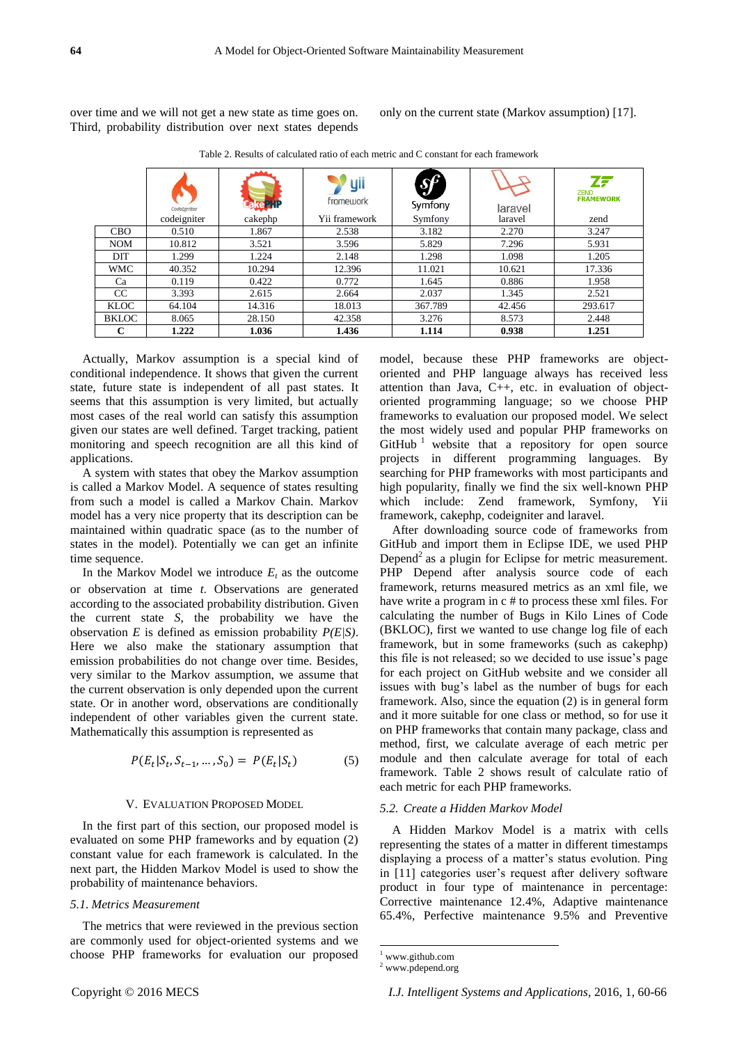over time and we will not get a new state as time goes on. Third, probability distribution over next states depends only on the current state (Markov assumption) [17].

|              | CodeLgniter<br>codeigniter | ake 'l<br>cakephp | yii<br>framework<br>Yii framework | $\mathcal{S}^p$<br>Symfony<br>Symfony | laravel<br>laravel | ZF<br><b>ZEND</b><br><b>FRAMEWORK</b><br>zend |
|--------------|----------------------------|-------------------|-----------------------------------|---------------------------------------|--------------------|-----------------------------------------------|
| <b>CBO</b>   | 0.510                      | 1.867             | 2.538                             | 3.182                                 | 2.270              | 3.247                                         |
| <b>NOM</b>   | 10.812                     | 3.521             | 3.596                             | 5.829                                 | 7.296              | 5.931                                         |
| DIT          | 1.299                      | 1.224             | 2.148                             | 1.298                                 | 1.098              | 1.205                                         |
| <b>WMC</b>   | 40.352                     | 10.294            | 12.396                            | 11.021                                | 10.621             | 17.336                                        |
| Ca           | 0.119                      | 0.422             | 0.772                             | 1.645                                 | 0.886              | 1.958                                         |
| CC           | 3.393                      | 2.615             | 2.664                             | 2.037                                 | 1.345              | 2.521                                         |
| <b>KLOC</b>  | 64.104                     | 14.316            | 18.013                            | 367.789                               | 42.456             | 293.617                                       |
| <b>BKLOC</b> | 8.065                      | 28.150            | 42.358                            | 3.276                                 | 8.573              | 2.448                                         |
| С            | 1.222                      | 1.036             | 1.436                             | 1.114                                 | 0.938              | 1.251                                         |

Table 2. Results of calculated ratio of each metric and C constant for each framework

Actually, Markov assumption is a special kind of conditional independence. It shows that given the current state, future state is independent of all past states. It seems that this assumption is very limited, but actually most cases of the real world can satisfy this assumption given our states are well defined. Target tracking, patient monitoring and speech recognition are all this kind of applications.

A system with states that obey the Markov assumption is called a Markov Model. A sequence of states resulting from such a model is called a Markov Chain. Markov model has a very nice property that its description can be maintained within quadratic space (as to the number of states in the model). Potentially we can get an infinite time sequence.

In the Markov Model we introduce  $E_t$  as the outcome or observation at time *t*. Observations are generated according to the associated probability distribution. Given the current state *S*, the probability we have the observation *E* is defined as emission probability *P(E|S)*. Here we also make the stationary assumption that emission probabilities do not change over time. Besides, very similar to the Markov assumption, we assume that the current observation is only depended upon the current state. Or in another word, observations are conditionally independent of other variables given the current state. Mathematically this assumption is represented as

$$
P(E_t|S_t, S_{t-1}, ..., S_0) = P(E_t|S_t)
$$
 (5)

#### V. EVALUATION PROPOSED MODEL

In the first part of this section, our proposed model is evaluated on some PHP frameworks and by equation (2) constant value for each framework is calculated. In the next part, the Hidden Markov Model is used to show the probability of maintenance behaviors.

# *5.1. Metrics Measurement*

The metrics that were reviewed in the previous section are commonly used for object-oriented systems and we choose PHP frameworks for evaluation our proposed model, because these PHP frameworks are objectoriented and PHP language always has received less attention than Java, C++, etc. in evaluation of objectoriented programming language; so we choose PHP frameworks to evaluation our proposed model. We select the most widely used and popular PHP frameworks on  $G$ itHub<sup>1</sup> website that a repository for open source projects in different programming languages. By searching for PHP frameworks with most participants and high popularity, finally we find the six well-known PHP which include: Zend framework, Symfony, Yii framework, cakephp, codeigniter and laravel.

After downloading source code of frameworks from GitHub and import them in Eclipse IDE, we used PHP Depend<sup>2</sup> as a plugin for Eclipse for metric measurement. PHP Depend after analysis source code of each framework, returns measured metrics as an xml file, we have write a program in c # to process these xml files. For calculating the number of Bugs in Kilo Lines of Code (BKLOC), first we wanted to use change log file of each framework, but in some frameworks (such as cakephp) this file is not released; so we decided to use issue's page for each project on GitHub website and we consider all issues with bug's label as the number of bugs for each framework. Also, since the equation (2) is in general form and it more suitable for one class or method, so for use it on PHP frameworks that contain many package, class and method, first, we calculate average of each metric per module and then calculate average for total of each framework. Table 2 shows result of calculate ratio of each metric for each PHP frameworks.

# *5.2. Create a Hidden Markov Model*

A Hidden Markov Model is a matrix with cells representing the states of a matter in different timestamps displaying a process of a matter's status evolution. Ping in [11] categories user's request after delivery software product in four type of maintenance in percentage: Corrective maintenance 12.4%, Adaptive maintenance 65.4%, Perfective maintenance 9.5% and Preventive

 $\overline{a}$ 

<sup>1</sup> www.github.com

<sup>2</sup> www.pdepend.org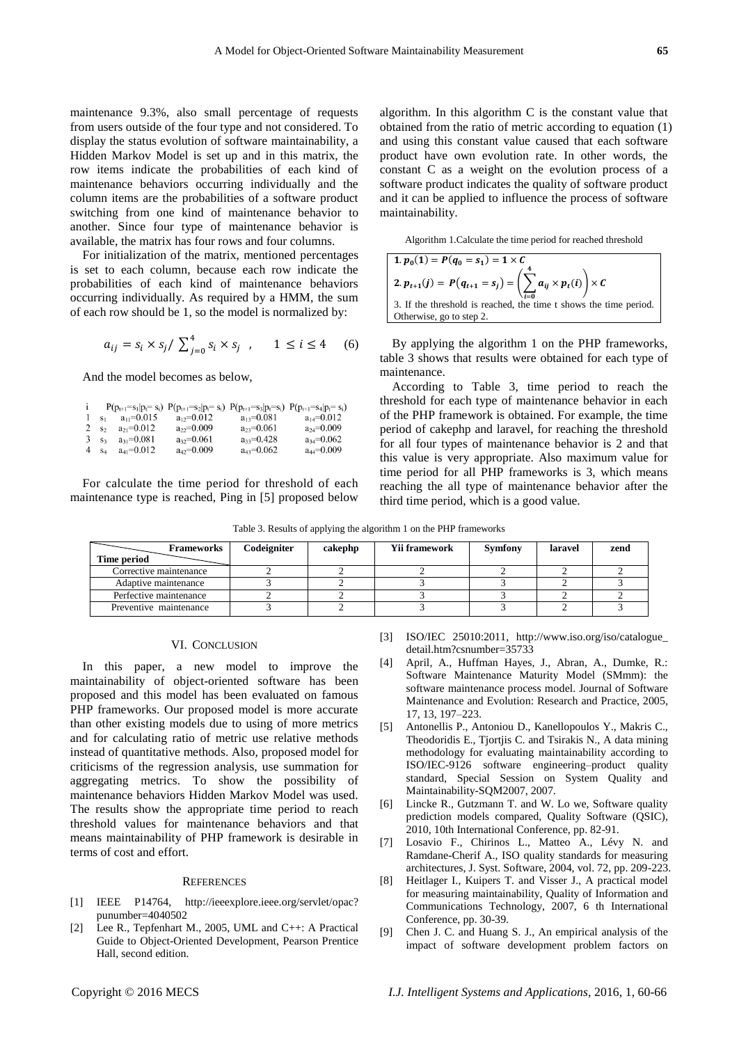maintenance 9.3%, also small percentage of requests from users outside of the four type and not considered. To display the status evolution of software maintainability, a Hidden Markov Model is set up and in this matrix, the row items indicate the probabilities of each kind of maintenance behaviors occurring individually and the column items are the probabilities of a software product switching from one kind of maintenance behavior to another. Since four type of maintenance behavior is available, the matrix has four rows and four columns.

For initialization of the matrix, mentioned percentages is set to each column, because each row indicate the probabilities of each kind of maintenance behaviors occurring individually. As required by a HMM, the sum of each row should be 1, so the model is normalized by:

$$
a_{ij} = s_i \times s_j / \sum_{j=0}^{4} s_i \times s_j \quad , \qquad 1 \le i \le 4 \quad (6)
$$

And the model becomes as below,

| $\mathbf{i}$     |         |                          | $P(p_{t+1} = s_1   p_t = s_i) P(p_{t+1} = s_2   p_t = s_i) P(p_{t+1} = s_3   p_t = s_i) P(p_{t+1} = s_4   p_t = s_i)$ |                  |                  |
|------------------|---------|--------------------------|-----------------------------------------------------------------------------------------------------------------------|------------------|------------------|
|                  |         | 1 $s_1$ $a_{11} = 0.015$ | $a_{12}=0.012$                                                                                                        | $a_{13} = 0.081$ | $a_{14} = 0.012$ |
|                  | 2 $S2$  | $a_{21} = 0.012$         | $a_{22}=0.009$                                                                                                        | $a_{23} = 0.061$ | $a_{24} = 0.009$ |
| 3 S <sub>3</sub> |         | $a_{31} = 0.081$         | $a_{32}=0.061$                                                                                                        | $a_{33} = 0.428$ | $a_{34} = 0.062$ |
|                  | $4 S_4$ | $a_{41} = 0.012$         | $a_{42} = 0.009$                                                                                                      | $a_{43} = 0.062$ | $a_{44} = 0.009$ |

For calculate the time period for threshold of each maintenance type is reached, Ping in [5] proposed below algorithm. In this algorithm C is the constant value that obtained from the ratio of metric according to equation (1) and using this constant value caused that each software product have own evolution rate. In other words, the constant C as a weight on the evolution process of a software product indicates the quality of software product and it can be applied to influence the process of software maintainability.

Algorithm 1.Calculate the time period for reached threshold

| 1. $p_0(1) = P(q_0 = s_1) = 1 \times C$                                              |
|--------------------------------------------------------------------------------------|
| 2. $p_{t+1}(j) = P(q_{t+1} = s_j) = \left(\sum a_{ij} \times p_t(i)\right) \times C$ |
| 3. If the threshold is reached, the time t shows the time period.                    |
| Otherwise, go to step 2.                                                             |

By applying the algorithm 1 on the PHP frameworks, table 3 shows that results were obtained for each type of maintenance.

According to Table 3, time period to reach the threshold for each type of maintenance behavior in each of the PHP framework is obtained. For example, the time period of cakephp and laravel, for reaching the threshold for all four types of maintenance behavior is 2 and that this value is very appropriate. Also maximum value for time period for all PHP frameworks is 3, which means reaching the all type of maintenance behavior after the third time period, which is a good value.

|  | Table 3. Results of applying the algorithm 1 on the PHP frameworks |  |
|--|--------------------------------------------------------------------|--|
|  |                                                                    |  |

| <b>Frameworks</b><br>Time period | Codeigniter | cakephp | <b>Yii framework</b> | <b>Symfony</b> | laravel | zend |
|----------------------------------|-------------|---------|----------------------|----------------|---------|------|
| Corrective maintenance           |             |         |                      |                |         |      |
| Adaptive maintenance             |             |         |                      |                |         |      |
| Perfective maintenance           |             |         |                      |                |         |      |
| Preventive maintenance           |             |         |                      |                |         |      |

## VI. CONCLUSION

In this paper, a new model to improve the maintainability of object-oriented software has been proposed and this model has been evaluated on famous PHP frameworks. Our proposed model is more accurate than other existing models due to using of more metrics and for calculating ratio of metric use relative methods instead of quantitative methods. Also, proposed model for criticisms of the regression analysis, use summation for aggregating metrics. To show the possibility of maintenance behaviors Hidden Markov Model was used. The results show the appropriate time period to reach threshold values for maintenance behaviors and that means maintainability of PHP framework is desirable in terms of cost and effort.

#### **REFERENCES**

- [1] IEEE P14764, http://ieeexplore.ieee.org/servlet/opac? punumber=4040502
- [2] Lee R., Tepfenhart M., 2005, UML and C++: A Practical Guide to Object-Oriented Development, Pearson Prentice Hall, second edition.
- [3] ISO/IEC 25010:2011, http://www.iso.org/iso/catalogue\_ detail.htm?csnumber=35733
- [4] April, A., Huffman Hayes, J., Abran, A., Dumke, R.: Software Maintenance Maturity Model (SMmm): the software maintenance process model. Journal of Software Maintenance and Evolution: Research and Practice, 2005, 17, 13, 197–223.
- [5] Antonellis P., Antoniou D., Kanellopoulos Y., Makris C., Theodoridis E., Tjortjis C. and Tsirakis N., A data mining methodology for evaluating maintainability according to ISO/IEC-9126 software engineering–product quality standard, Special Session on System Quality and Maintainability-SQM2007, 2007.
- [6] Lincke R., Gutzmann T. and W. Lo we, Software quality prediction models compared, Quality Software (QSIC), 2010, 10th International Conference, pp. 82-91.
- [7] Losavio F., Chirinos L., Matteo A., Lévy N. and Ramdane-Cherif A., ISO quality standards for measuring architectures, J. Syst. Software, 2004, vol. 72, pp. 209-223.
- [8] Heitlager I., Kuipers T. and Visser J., A practical model for measuring maintainability, Quality of Information and Communications Technology, 2007, 6 th International Conference, pp. 30-39.
- [9] Chen J. C. and Huang S. J., An empirical analysis of the impact of software development problem factors on